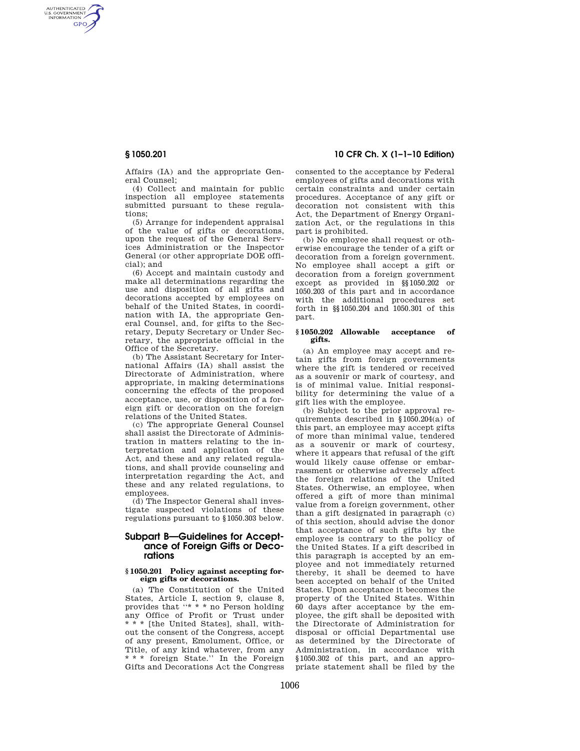AUTHENTICATED<br>U.S. GOVERNMENT<br>INFORMATION **GPO** 

> Affairs (IA) and the appropriate General Counsel;

> (4) Collect and maintain for public inspection all employee statements submitted pursuant to these regulations;

> (5) Arrange for independent appraisal of the value of gifts or decorations, upon the request of the General Services Administration or the Inspector General (or other appropriate DOE official); and

> (6) Accept and maintain custody and make all determinations regarding the use and disposition of all gifts and decorations accepted by employees on behalf of the United States, in coordination with IA, the appropriate General Counsel, and, for gifts to the Secretary, Deputy Secretary or Under Secretary, the appropriate official in the Office of the Secretary.

> (b) The Assistant Secretary for International Affairs (IA) shall assist the Directorate of Administration, where appropriate, in making determinations concerning the effects of the proposed acceptance, use, or disposition of a foreign gift or decoration on the foreign relations of the United States.

> (c) The appropriate General Counsel shall assist the Directorate of Administration in matters relating to the interpretation and application of the Act, and these and any related regulations, and shall provide counseling and interpretation regarding the Act, and these and any related regulations, to employees.

> (d) The Inspector General shall investigate suspected violations of these regulations pursuant to §1050.303 below.

# **Subpart B—Guidelines for Acceptance of Foreign Gifts or Decorations**

### **§ 1050.201 Policy against accepting foreign gifts or decorations.**

(a) The Constitution of the United States, Article I, section 9, clause 8, provides that ''\* \* \* no Person holding any Office of Profit or Trust under \* \* \* [the United States], shall, without the consent of the Congress, accept of any present, Emolument, Office, or Title, of any kind whatever, from any \* \* \* foreign State.'' In the Foreign Gifts and Decorations Act the Congress

# **§ 1050.201 10 CFR Ch. X (1–1–10 Edition)**

consented to the acceptance by Federal employees of gifts and decorations with certain constraints and under certain procedures. Acceptance of any gift or decoration not consistent with this Act, the Department of Energy Organization Act, or the regulations in this part is prohibited.

(b) No employee shall request or otherwise encourage the tender of a gift or decoration from a foreign government. No employee shall accept a gift or decoration from a foreign government except as provided in §§1050.202 or 1050.203 of this part and in accordance with the additional procedures set forth in §§1050.204 and 1050.301 of this part.

#### **§ 1050.202 Allowable acceptance of gifts.**

(a) An employee may accept and retain gifts from foreign governments where the gift is tendered or received as a souvenir or mark of courtesy, and is of minimal value. Initial responsibility for determining the value of a gift lies with the employee.

(b) Subject to the prior approval requirements described in §1050.204(a) of this part, an employee may accept gifts of more than minimal value, tendered as a souvenir or mark of courtesy, where it appears that refusal of the gift would likely cause offense or embarrassment or otherwise adversely affect the foreign relations of the United States. Otherwise, an employee, when offered a gift of more than minimal value from a foreign government, other than a gift designated in paragraph (c) of this section, should advise the donor that acceptance of such gifts by the employee is contrary to the policy of the United States. If a gift described in this paragraph is accepted by an employee and not immediately returned thereby, it shall be deemed to have been accepted on behalf of the United States. Upon acceptance it becomes the property of the United States. Within 60 days after acceptance by the employee, the gift shall be deposited with the Directorate of Administration for disposal or official Departmental use as determined by the Directorate of Administration, in accordance with §1050.302 of this part, and an appropriate statement shall be filed by the